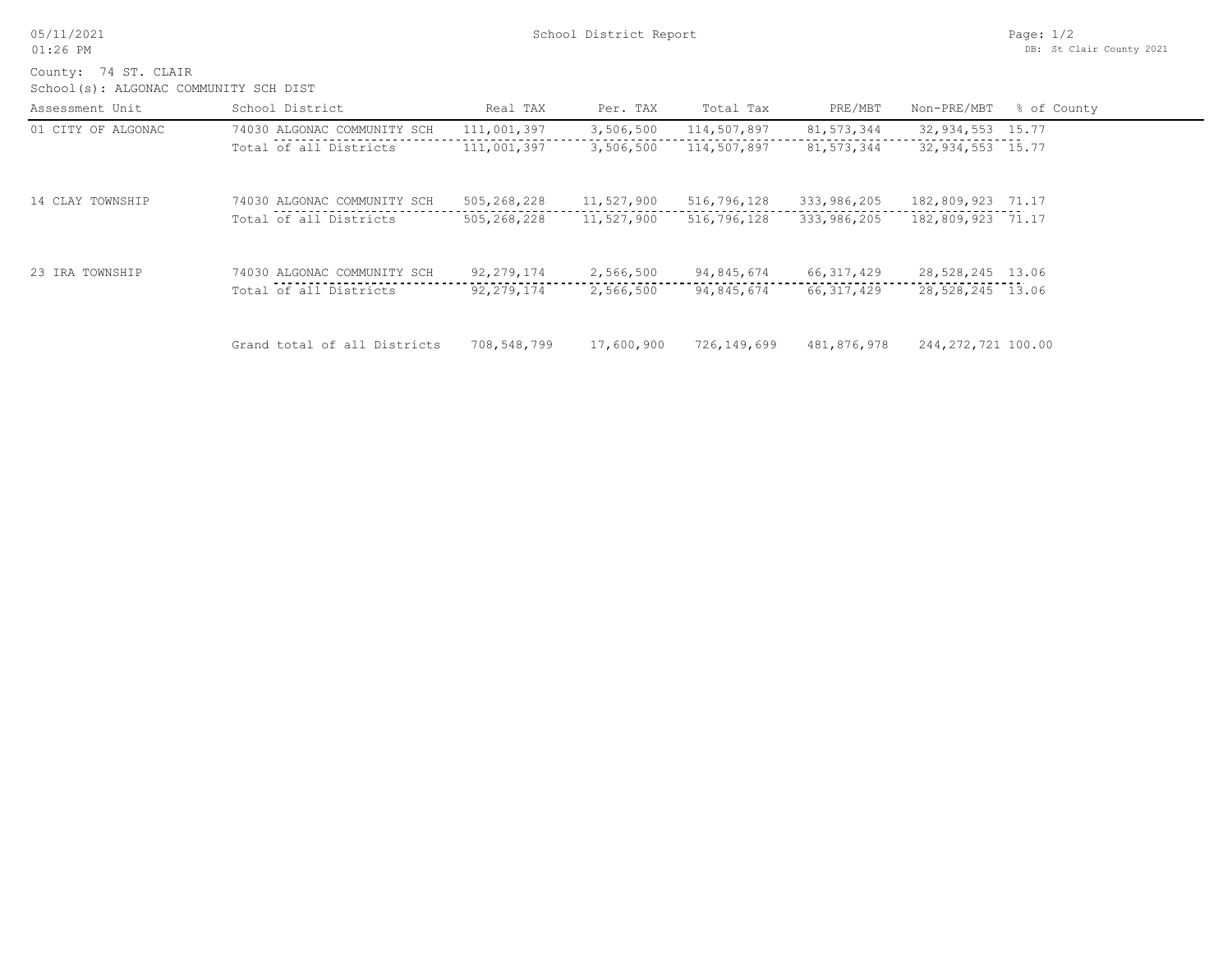05/11/2021 01:26 PM

School(s): ALGONAC COMMUNITY SCH DIST County: 74 ST. CLAIR

| Assessment Unit    | School District              | Real TAX     | Per. TAX   | Total Tax   | PRE/MBT      | Non-PRE/MBT        | % of County |
|--------------------|------------------------------|--------------|------------|-------------|--------------|--------------------|-------------|
| 01 CITY OF ALGONAC | 74030 ALGONAC COMMUNITY SCH  | 111,001,397  | 3,506,500  | 114,507,897 | 81,573,344   | 32,934,553 15.77   |             |
|                    | Total of all Districts       | 111,001,397  | 3,506,500  | 114,507,897 | 81,573,344   | 32,934,553 15.77   |             |
| 14 CLAY TOWNSHIP   | 74030 ALGONAC COMMUNITY SCH  | 505,268,228  | 11,527,900 | 516,796,128 | 333,986,205  | 182,809,923 71.17  |             |
|                    | Total of all Districts       | 505,268,228  | 11,527,900 | 516,796,128 | 333,986,205  | 182,809,923 71.17  |             |
| 23 IRA TOWNSHIP    | 74030 ALGONAC COMMUNITY SCH  | 92, 279, 174 | 2,566,500  | 94,845,674  | 66, 317, 429 | 28,528,245 13.06   |             |
|                    | Total of all Districts       | 92, 279, 174 | 2,566,500  | 94,845,674  | 66, 317, 429 | 28,528,245 13.06   |             |
|                    | Grand total of all Districts | 708,548,799  | 17,600,900 | 726,149,699 | 481,876,978  | 244,272,721 100.00 |             |